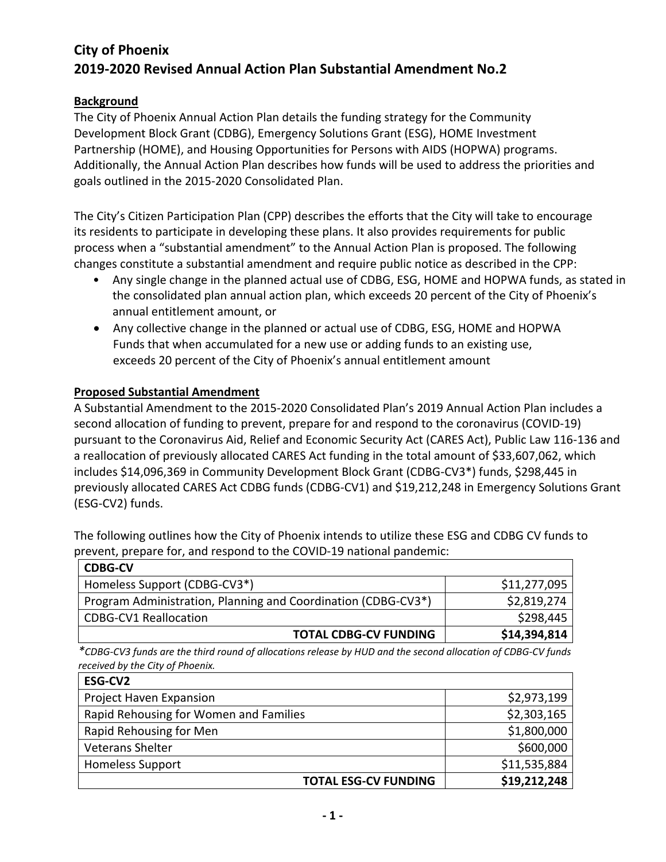# **City of Phoenix 2019-2020 Revised Annual Action Plan Substantial Amendment No.2**

## **Background**

The City of Phoenix Annual Action Plan details the funding strategy for the Community Development Block Grant (CDBG), Emergency Solutions Grant (ESG), HOME Investment Partnership (HOME), and Housing Opportunities for Persons with AIDS (HOPWA) programs. Additionally, the Annual Action Plan describes how funds will be used to address the priorities and goals outlined in the 2015-2020 Consolidated Plan.

The City's Citizen Participation Plan (CPP) describes the efforts that the City will take to encourage its residents to participate in developing these plans. It also provides requirements for public process when a "substantial amendment" to the Annual Action Plan is proposed. The following changes constitute a substantial amendment and require public notice as described in the CPP:

- Any single change in the planned actual use of CDBG, ESG, HOME and HOPWA funds, as stated in the consolidated plan annual action plan, which exceeds 20 percent of the City of Phoenix's annual entitlement amount, or
- Any collective change in the planned or actual use of CDBG, ESG, HOME and HOPWA Funds that when accumulated for a new use or adding funds to an existing use, exceeds 20 percent of the City of Phoenix's annual entitlement amount

## **Proposed Substantial Amendment**

A Substantial Amendment to the 2015-2020 Consolidated Plan's 2019 Annual Action Plan includes a second allocation of funding to prevent, prepare for and respond to the coronavirus (COVID-19) pursuant to the Coronavirus Aid, Relief and Economic Security Act (CARES Act), Public Law 116-136 and a reallocation of previously allocated CARES Act funding in the total amount of \$33,607,062, which includes \$14,096,369 in Community Development Block Grant (CDBG-CV3\*) funds, \$298,445 in previously allocated CARES Act CDBG funds (CDBG-CV1) and \$19,212,248 in Emergency Solutions Grant (ESG-CV2) funds.

The following outlines how the City of Phoenix intends to utilize these ESG and CDBG CV funds to prevent, prepare for, and respond to the COVID-19 national pandemic:

| <b>CDBG-CV</b>                                                             |              |
|----------------------------------------------------------------------------|--------------|
| Homeless Support (CDBG-CV3*)                                               | \$11,277,095 |
| Program Administration, Planning and Coordination (CDBG-CV3 <sup>*</sup> ) | \$2,819,274  |
| <b>CDBG-CV1 Reallocation</b>                                               | \$298,445    |
| <b>TOTAL CDBG-CV FUNDING</b>                                               | \$14,394,814 |

*\*CDBG-CV3 funds are the third round of allocations release by HUD and the second allocation of CDBG-CV funds received by the City of Phoenix.* 

| ESG-CV2                                |              |
|----------------------------------------|--------------|
| Project Haven Expansion                | \$2,973,199  |
| Rapid Rehousing for Women and Families | \$2,303,165  |
| Rapid Rehousing for Men                | \$1,800,000  |
| <b>Veterans Shelter</b>                | \$600,000    |
| <b>Homeless Support</b>                | \$11,535,884 |
| <b>TOTAL ESG-CV FUNDING</b>            | \$19,212,248 |